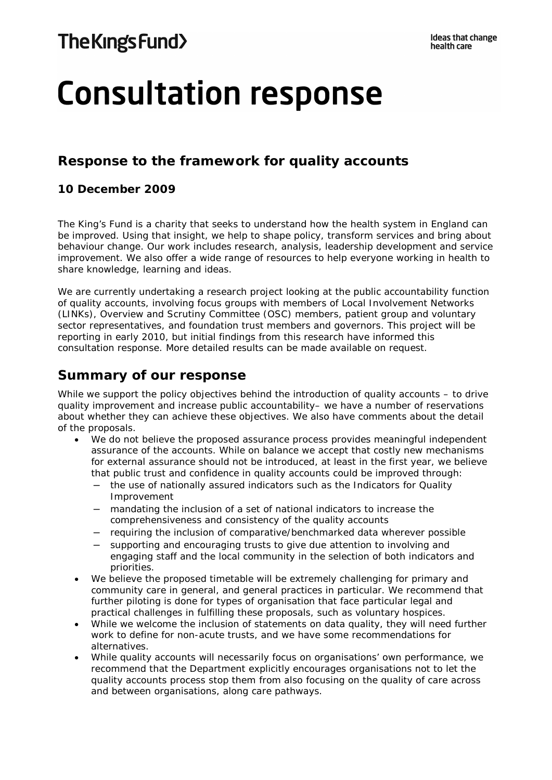# **Consultation response**

# **Response to the framework for quality accounts**

# **10 December 2009**

The King's Fund is a charity that seeks to understand how the health system in England can be improved. Using that insight, we help to shape policy, transform services and bring about behaviour change. Our work includes research, analysis, leadership development and service improvement. We also offer a wide range of resources to help everyone working in health to share knowledge, learning and ideas.

We are currently undertaking a research project looking at the public accountability function of quality accounts, involving focus groups with members of Local Involvement Networks (LINKs), Overview and Scrutiny Committee (OSC) members, patient group and voluntary sector representatives, and foundation trust members and governors. This project will be reporting in early 2010, but initial findings from this research have informed this consultation response. More detailed results can be made available on request.

# **Summary of our response**

While we support the policy objectives behind the introduction of quality accounts – to drive quality improvement and increase public accountability– we have a number of reservations about whether they can achieve these objectives. We also have comments about the detail of the proposals.

- We do not believe the proposed assurance process provides meaningful independent assurance of the accounts. While on balance we accept that costly new mechanisms for external assurance should not be introduced, at least in the first year, we believe that public trust and confidence in quality accounts could be improved through:
	- the use of nationally assured indicators such as the Indicators for Quality Improvement
	- mandating the inclusion of a set of national indicators to increase the comprehensiveness and consistency of the quality accounts
	- requiring the inclusion of comparative/benchmarked data wherever possible
	- supporting and encouraging trusts to give due attention to involving and engaging staff and the local community in the selection of both indicators and priorities.
- We believe the proposed timetable will be extremely challenging for primary and community care in general, and general practices in particular. We recommend that further piloting is done for types of organisation that face particular legal and practical challenges in fulfilling these proposals, such as voluntary hospices.
- While we welcome the inclusion of statements on data quality, they will need further work to define for non-acute trusts, and we have some recommendations for alternatives.
- While quality accounts will necessarily focus on organisations' own performance, we recommend that the Department explicitly encourages organisations not to let the quality accounts process stop them from also focusing on the quality of care across and between organisations, along care pathways.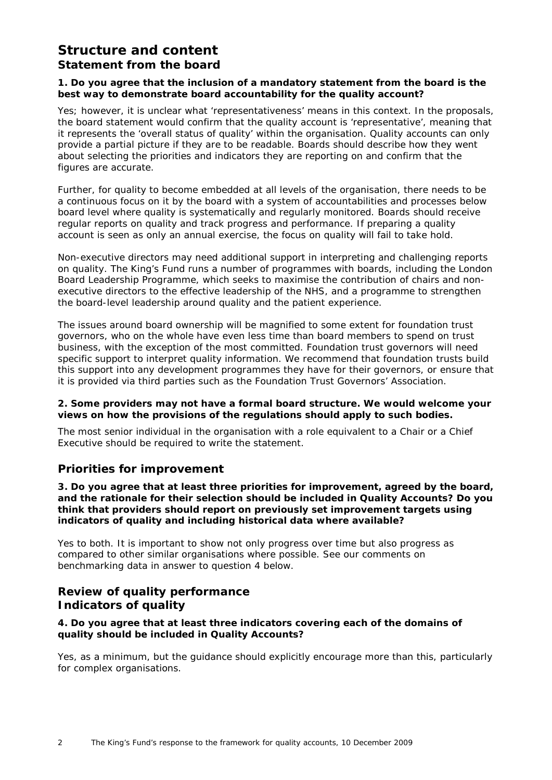# **Structure and content** *Statement from the board*

## **1. Do you agree that the inclusion of a mandatory statement from the board is the best way to demonstrate board accountability for the quality account?**

Yes; however, it is unclear what 'representativeness' means in this context. In the proposals, the board statement would confirm that the quality account is 'representative', meaning that it represents the 'overall status of quality' within the organisation. Quality accounts can only provide a partial picture if they are to be readable. Boards should describe how they went about selecting the priorities and indicators they are reporting on and confirm that the figures are accurate.

Further, for quality to become embedded at all levels of the organisation, there needs to be a continuous focus on it by the board with a system of accountabilities and processes below board level where quality is systematically and regularly monitored. Boards should receive regular reports on quality and track progress and performance. If preparing a quality account is seen as only an annual exercise, the focus on quality will fail to take hold.

Non-executive directors may need additional support in interpreting and challenging reports on quality. The King's Fund runs a number of programmes with boards, including the London Board Leadership Programme, which seeks to maximise the contribution of chairs and nonexecutive directors to the effective leadership of the NHS, and a programme to strengthen the board-level leadership around quality and the patient experience.

The issues around board ownership will be magnified to some extent for foundation trust governors, who on the whole have even less time than board members to spend on trust business, with the exception of the most committed. Foundation trust governors will need specific support to interpret quality information. We recommend that foundation trusts build this support into any development programmes they have for their governors, or ensure that it is provided via third parties such as the Foundation Trust Governors' Association.

#### **2. Some providers may not have a formal board structure. We would welcome your views on how the provisions of the regulations should apply to such bodies.**

The most senior individual in the organisation with a role equivalent to a Chair or a Chief Executive should be required to write the statement.

# **Priorities for improvement**

**3. Do you agree that at least three priorities for improvement, agreed by the board, and the rationale for their selection should be included in Quality Accounts? Do you think that providers should report on previously set improvement targets using indicators of quality and including historical data where available?**

Yes to both. It is important to show not only progress over time but also progress as compared to other similar organisations where possible. See our comments on benchmarking data in answer to question 4 below.

# **Review of quality performance** *Indicators of quality*

## **4. Do you agree that at least three indicators covering each of the domains of quality should be included in Quality Accounts?**

Yes, as a minimum, but the guidance should explicitly encourage more than this, particularly for complex organisations.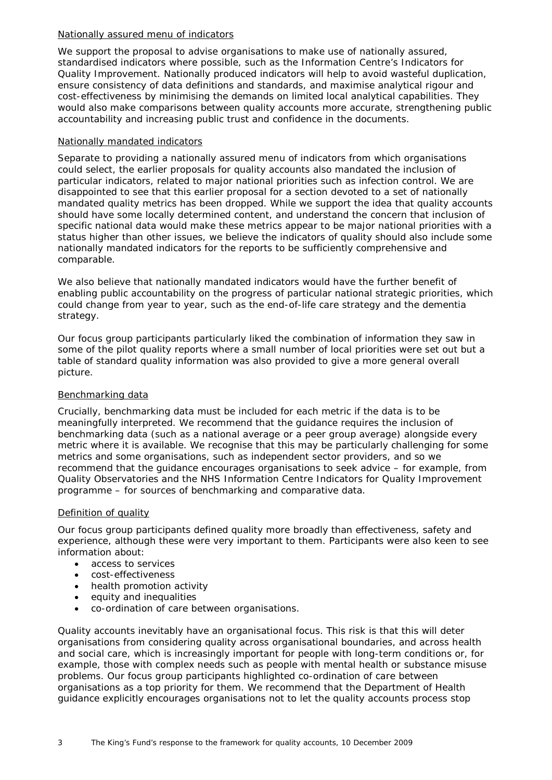#### Nationally assured menu of indicators

We support the proposal to advise organisations to make use of nationally assured, standardised indicators where possible, such as the Information Centre's Indicators for Quality Improvement. Nationally produced indicators will help to avoid wasteful duplication, ensure consistency of data definitions and standards, and maximise analytical rigour and cost-effectiveness by minimising the demands on limited local analytical capabilities. They would also make comparisons between quality accounts more accurate, strengthening public accountability and increasing public trust and confidence in the documents.

## Nationally mandated indicators

Separate to providing a nationally assured menu of indicators from which organisations could select, the earlier proposals for quality accounts also mandated the inclusion of particular indicators, related to major national priorities such as infection control. We are disappointed to see that this earlier proposal for a section devoted to a set of nationally mandated quality metrics has been dropped. While we support the idea that quality accounts should have some locally determined content, and understand the concern that inclusion of specific national data would make these metrics appear to be major national priorities with a status higher than other issues, we believe the indicators of quality should also include some nationally mandated indicators for the reports to be sufficiently comprehensive and comparable.

We also believe that nationally mandated indicators would have the further benefit of enabling public accountability on the progress of particular national strategic priorities, which could change from year to year, such as the end-of-life care strategy and the dementia strategy.

Our focus group participants particularly liked the combination of information they saw in some of the pilot quality reports where a small number of local priorities were set out but a table of standard quality information was also provided to give a more general overall picture.

# Benchmarking data

Crucially, benchmarking data must be included for each metric if the data is to be meaningfully interpreted. We recommend that the guidance requires the inclusion of benchmarking data (such as a national average or a peer group average) alongside every metric where it is available. We recognise that this may be particularly challenging for some metrics and some organisations, such as independent sector providers, and so we recommend that the guidance encourages organisations to seek advice – for example, from Quality Observatories and the NHS Information Centre Indicators for Quality Improvement programme – for sources of benchmarking and comparative data.

## Definition of quality

Our focus group participants defined quality more broadly than effectiveness, safety and experience, although these were very important to them. Participants were also keen to see information about:

- access to services
- cost-effectiveness
- health promotion activity
- equity and inequalities
- co-ordination of care between organisations.

Quality accounts inevitably have an organisational focus. This risk is that this will deter organisations from considering quality across organisational boundaries, and across health and social care, which is increasingly important for people with long-term conditions or, for example, those with complex needs such as people with mental health or substance misuse problems. Our focus group participants highlighted co-ordination of care between organisations as a top priority for them. We recommend that the Department of Health guidance explicitly encourages organisations not to let the quality accounts process stop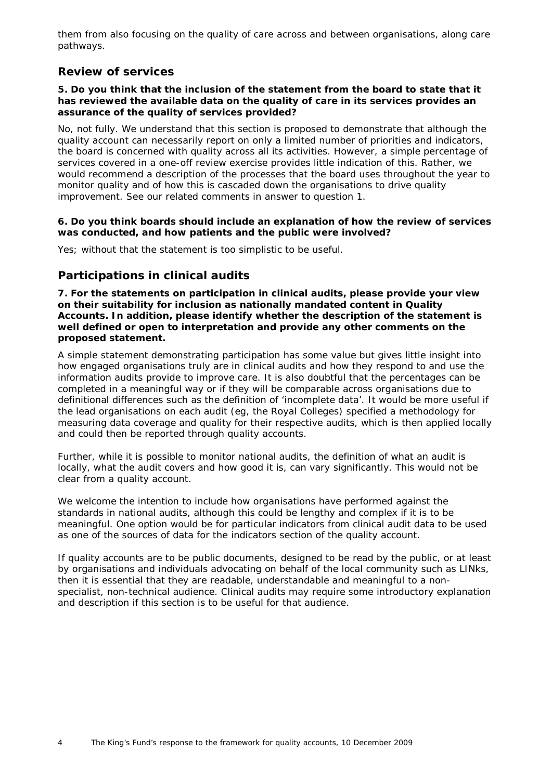them from also focusing on the quality of care across and between organisations, along care pathways.

# *Review of services*

#### **5. Do you think that the inclusion of the statement from the board to state that it has reviewed the available data on the quality of care in its services provides an assurance of the quality of services provided?**

No, not fully. We understand that this section is proposed to demonstrate that although the quality account can necessarily report on only a limited number of priorities and indicators, the board is concerned with quality across all its activities. However, a simple percentage of services covered in a one-off review exercise provides little indication of this. Rather, we would recommend a description of the processes that the board uses throughout the year to monitor quality and of how this is cascaded down the organisations to drive quality improvement. See our related comments in answer to question 1.

#### **6. Do you think boards should include an explanation of how the review of services was conducted, and how patients and the public were involved?**

Yes; without that the statement is too simplistic to be useful.

# *Participations in clinical audits*

**7. For the statements on participation in clinical audits, please provide your view on their suitability for inclusion as nationally mandated content in Quality Accounts. In addition, please identify whether the description of the statement is well defined or open to interpretation and provide any other comments on the proposed statement.**

A simple statement demonstrating participation has some value but gives little insight into how engaged organisations truly are in clinical audits and how they respond to and use the information audits provide to improve care. It is also doubtful that the percentages can be completed in a meaningful way or if they will be comparable across organisations due to definitional differences such as the definition of 'incomplete data'. It would be more useful if the lead organisations on each audit (eg, the Royal Colleges) specified a methodology for measuring data coverage and quality for their respective audits, which is then applied locally and could then be reported through quality accounts.

Further, while it is possible to monitor national audits, the definition of what an audit is locally, what the audit covers and how good it is, can vary significantly. This would not be clear from a quality account.

We welcome the intention to include how organisations have performed against the standards in national audits, although this could be lengthy and complex if it is to be meaningful. One option would be for particular indicators from clinical audit data to be used as one of the sources of data for the indicators section of the quality account.

If quality accounts are to be public documents, designed to be read by the public, or at least by organisations and individuals advocating on behalf of the local community such as LINks, then it is essential that they are readable, understandable and meaningful to a nonspecialist, non-technical audience. Clinical audits may require some introductory explanation and description if this section is to be useful for that audience.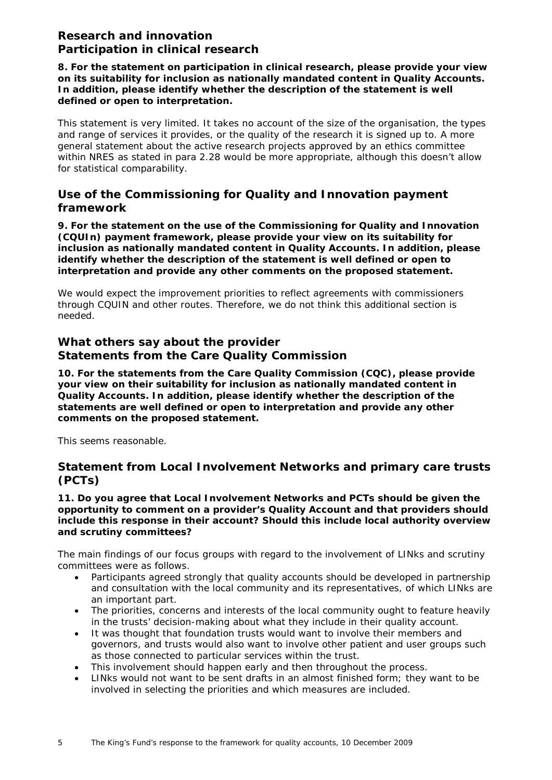# **Research and innovation** *Participation in clinical research*

**8. For the statement on participation in clinical research, please provide your view on its suitability for inclusion as nationally mandated content in Quality Accounts. In addition, please identify whether the description of the statement is well defined or open to interpretation.**

This statement is very limited. It takes no account of the size of the organisation, the types and range of services it provides, or the quality of the research it is signed up to. A more general statement about the active research projects approved by an ethics committee within NRES as stated in para 2.28 would be more appropriate, although this doesn't allow for statistical comparability.

# *Use of the Commissioning for Quality and Innovation payment framework*

**9. For the statement on the use of the Commissioning for Quality and Innovation (CQUIn) payment framework, please provide your view on its suitability for inclusion as nationally mandated content in Quality Accounts. In addition, please identify whether the description of the statement is well defined or open to interpretation and provide any other comments on the proposed statement.**

We would expect the improvement priorities to reflect agreements with commissioners through CQUIN and other routes. Therefore, we do not think this additional section is needed.

# **What others say about the provider** *Statements from the Care Quality Commission*

**10. For the statements from the Care Quality Commission (CQC), please provide your view on their suitability for inclusion as nationally mandated content in Quality Accounts. In addition, please identify whether the description of the statements are well defined or open to interpretation and provide any other comments on the proposed statement.**

This seems reasonable.

# *Statement from Local Involvement Networks and primary care trusts (PCTs)*

**11. Do you agree that Local Involvement Networks and PCTs should be given the opportunity to comment on a provider's Quality Account and that providers should include this response in their account? Should this include local authority overview and scrutiny committees?**

The main findings of our focus groups with regard to the involvement of LINks and scrutiny committees were as follows.

- Participants agreed strongly that quality accounts should be developed in partnership and consultation with the local community and its representatives, of which LINks are an important part.
- The priorities, concerns and interests of the local community ought to feature heavily in the trusts' decision-making about what they include in their quality account.
- It was thought that foundation trusts would want to involve their members and governors, and trusts would also want to involve other patient and user groups such as those connected to particular services within the trust.
- This involvement should happen early and then throughout the process.
- LINks would not want to be sent drafts in an almost finished form; they want to be involved in selecting the priorities and which measures are included.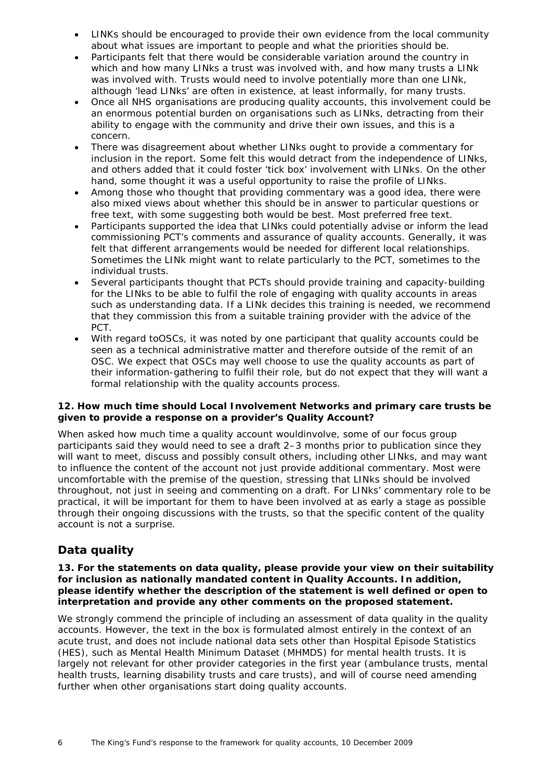- LINKs should be encouraged to provide their own evidence from the local community about what issues are important to people and what the priorities should be.
- Participants felt that there would be considerable variation around the country in which and how many LINks a trust was involved with, and how many trusts a LINk was involved with. Trusts would need to involve potentially more than one LINk, although 'lead LINks' are often in existence, at least informally, for many trusts.
- Once all NHS organisations are producing quality accounts, this involvement could be an enormous potential burden on organisations such as LINks, detracting from their ability to engage with the community and drive their own issues, and this is a concern.
- There was disagreement about whether LINks ought to provide a commentary for inclusion in the report. Some felt this would detract from the independence of LINks, and others added that it could foster 'tick box' involvement with LINks. On the other hand, some thought it was a useful opportunity to raise the profile of LINks.
- Among those who thought that providing commentary was a good idea, there were also mixed views about whether this should be in answer to particular questions or free text, with some suggesting both would be best. Most preferred free text.
- Participants supported the idea that LINks could potentially advise or inform the lead commissioning PCT's comments and assurance of quality accounts. Generally, it was felt that different arrangements would be needed for different local relationships. Sometimes the LINk might want to relate particularly to the PCT, sometimes to the individual trusts.
- Several participants thought that PCTs should provide training and capacity-building for the LINks to be able to fulfil the role of engaging with quality accounts in areas such as understanding data. If a LINk decides this training is needed, we recommend that they commission this from a suitable training provider with the advice of the PCT.
- With regard toOSCs, it was noted by one participant that quality accounts could be seen as a technical administrative matter and therefore outside of the remit of an OSC. We expect that OSCs may well choose to use the quality accounts as part of their information-gathering to fulfil their role, but do not expect that they will want a formal relationship with the quality accounts process.

#### **12. How much time should Local Involvement Networks and primary care trusts be given to provide a response on a provider's Quality Account?**

When asked how much time a quality account wouldinvolve, some of our focus group participants said they would need to see a draft 2–3 months prior to publication since they will want to meet, discuss and possibly consult others, including other LINks, and may want to influence the content of the account not just provide additional commentary. Most were uncomfortable with the premise of the question, stressing that LINks should be involved throughout, not just in seeing and commenting on a draft. For LINks' commentary role to be practical, it will be important for them to have been involved at as early a stage as possible through their ongoing discussions with the trusts, so that the specific content of the quality account is not a surprise.

# **Data quality**

#### **13. For the statements on data quality, please provide your view on their suitability for inclusion as nationally mandated content in Quality Accounts. In addition, please identify whether the description of the statement is well defined or open to interpretation and provide any other comments on the proposed statement.**

We strongly commend the principle of including an assessment of data quality in the quality accounts. However, the text in the box is formulated almost entirely in the context of an acute trust, and does not include national data sets other than Hospital Episode Statistics (HES), such as Mental Health Minimum Dataset (MHMDS) for mental health trusts. It is largely not relevant for other provider categories in the first year (ambulance trusts, mental health trusts, learning disability trusts and care trusts), and will of course need amending further when other organisations start doing quality accounts.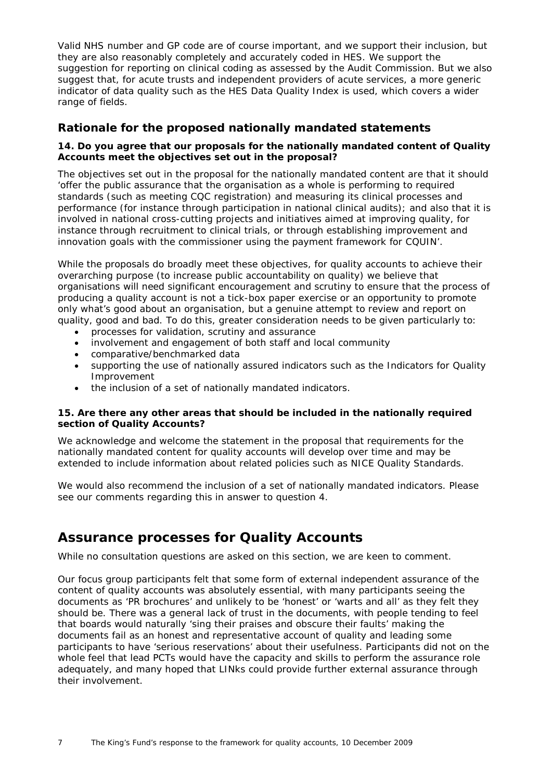Valid NHS number and GP code are of course important, and we support their inclusion, but they are also reasonably completely and accurately coded in HES. We support the suggestion for reporting on clinical coding as assessed by the Audit Commission. But we also suggest that, for acute trusts and independent providers of acute services, a more generic indicator of data quality such as the HES Data Quality Index is used, which covers a wider range of fields.

# **Rationale for the proposed nationally mandated statements**

## **14. Do you agree that our proposals for the nationally mandated content of Quality Accounts meet the objectives set out in the proposal?**

The objectives set out in the proposal for the nationally mandated content are that it should 'offer the public assurance that the organisation as a whole is performing to required standards (such as meeting CQC registration) and measuring its clinical processes and performance (for instance through participation in national clinical audits); and also that it is involved in national cross-cutting projects and initiatives aimed at improving quality, for instance through recruitment to clinical trials, or through establishing improvement and innovation goals with the commissioner using the payment framework for CQUIN'.

While the proposals do broadly meet these objectives, for quality accounts to achieve their overarching purpose (to increase public accountability on quality) we believe that organisations will need significant encouragement and scrutiny to ensure that the process of producing a quality account is not a tick-box paper exercise or an opportunity to promote only what's good about an organisation, but a genuine attempt to review and report on quality, good and bad. To do this, greater consideration needs to be given particularly to:

- processes for validation, scrutiny and assurance
- involvement and engagement of both staff and local community
- comparative/benchmarked data
- supporting the use of nationally assured indicators such as the Indicators for Quality Improvement
- the inclusion of a set of nationally mandated indicators.

#### **15. Are there any other areas that should be included in the nationally required section of Quality Accounts?**

We acknowledge and welcome the statement in the proposal that requirements for the nationally mandated content for quality accounts will develop over time and may be extended to include information about related policies such as NICE Quality Standards.

We would also recommend the inclusion of a set of nationally mandated indicators. Please see our comments regarding this in answer to question 4.

# **Assurance processes for Quality Accounts**

While no consultation questions are asked on this section, we are keen to comment.

Our focus group participants felt that some form of external independent assurance of the content of quality accounts was absolutely essential, with many participants seeing the documents as 'PR brochures' and unlikely to be 'honest' or 'warts and all' as they felt they should be. There was a general lack of trust in the documents, with people tending to feel that boards would naturally 'sing their praises and obscure their faults' making the documents fail as an honest and representative account of quality and leading some participants to have 'serious reservations' about their usefulness. Participants did not on the whole feel that lead PCTs would have the capacity and skills to perform the assurance role adequately, and many hoped that LINks could provide further external assurance through their involvement.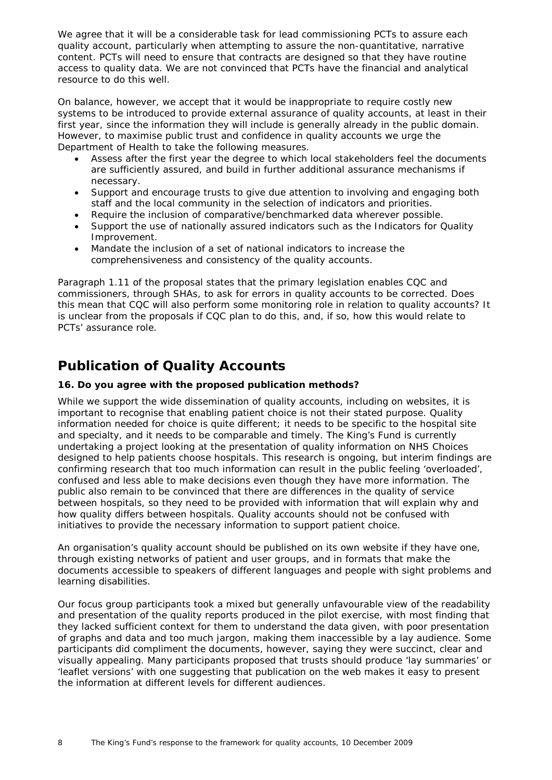We agree that it will be a considerable task for lead commissioning PCTs to assure each quality account, particularly when attempting to assure the non-quantitative, narrative content. PCTs will need to ensure that contracts are designed so that they have routine access to quality data. We are not convinced that PCTs have the financial and analytical resource to do this well.

On balance, however, we accept that it would be inappropriate to require costly new systems to be introduced to provide external assurance of quality accounts, at least in their first year, since the information they will include is generally already in the public domain. However, to maximise public trust and confidence in quality accounts we urge the Department of Health to take the following measures.

- Assess after the first year the degree to which local stakeholders feel the documents are sufficiently assured, and build in further additional assurance mechanisms if necessary.
- Support and encourage trusts to give due attention to involving and engaging both staff and the local community in the selection of indicators and priorities.
- Require the inclusion of comparative/benchmarked data wherever possible.
- Support the use of nationally assured indicators such as the Indicators for Quality Improvement.
- Mandate the inclusion of a set of national indicators to increase the comprehensiveness and consistency of the quality accounts.

Paragraph 1.11 of the proposal states that the primary legislation enables CQC and commissioners, through SHAs, to ask for errors in quality accounts to be corrected. Does this mean that CQC will also perform some monitoring role in relation to quality accounts? It is unclear from the proposals if CQC plan to do this, and, if so, how this would relate to PCTs' assurance role.

# **Publication of Quality Accounts**

## **16. Do you agree with the proposed publication methods?**

While we support the wide dissemination of quality accounts, including on websites, it is important to recognise that enabling patient choice is not their stated purpose. Quality information needed for choice is quite different; it needs to be specific to the hospital site and specialty, and it needs to be comparable and timely. The King's Fund is currently undertaking a project looking at the presentation of quality information on NHS Choices designed to help patients choose hospitals. This research is ongoing, but interim findings are confirming research that too much information can result in the public feeling 'overloaded', confused and less able to make decisions even though they have more information. The public also remain to be convinced that there are differences in the quality of service between hospitals, so they need to be provided with information that will explain why and how quality differs between hospitals. Quality accounts should not be confused with initiatives to provide the necessary information to support patient choice.

An organisation's quality account should be published on its own website if they have one, through existing networks of patient and user groups, and in formats that make the documents accessible to speakers of different languages and people with sight problems and learning disabilities.

Our focus group participants took a mixed but generally unfavourable view of the readability and presentation of the quality reports produced in the pilot exercise, with most finding that they lacked sufficient context for them to understand the data given, with poor presentation of graphs and data and too much jargon, making them inaccessible by a lay audience. Some participants did compliment the documents, however, saying they were succinct, clear and visually appealing. Many participants proposed that trusts should produce 'lay summaries' or 'leaflet versions' with one suggesting that publication on the web makes it easy to present the information at different levels for different audiences.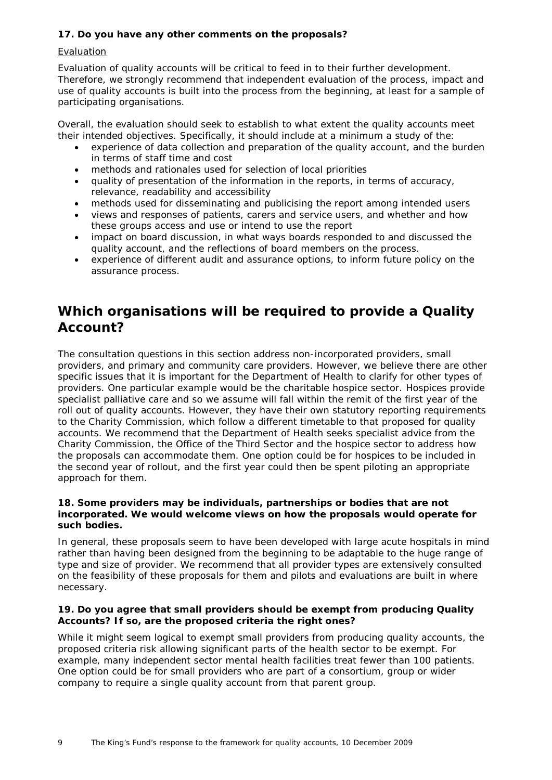# **17. Do you have any other comments on the proposals?**

## Evaluation

Evaluation of quality accounts will be critical to feed in to their further development. Therefore, we strongly recommend that independent evaluation of the process, impact and use of quality accounts is built into the process from the beginning, at least for a sample of participating organisations.

Overall, the evaluation should seek to establish to what extent the quality accounts meet their intended objectives. Specifically, it should include at a minimum a study of the:

- experience of data collection and preparation of the quality account, and the burden in terms of staff time and cost
- methods and rationales used for selection of local priorities
- quality of presentation of the information in the reports, in terms of accuracy, relevance, readability and accessibility
- methods used for disseminating and publicising the report among intended users
- views and responses of patients, carers and service users, and whether and how these groups access and use or intend to use the report
- impact on board discussion, in what ways boards responded to and discussed the quality account, and the reflections of board members on the process.
- experience of different audit and assurance options, to inform future policy on the assurance process.

# **Which organisations will be required to provide a Quality Account?**

The consultation questions in this section address non-incorporated providers, small providers, and primary and community care providers. However, we believe there are other specific issues that it is important for the Department of Health to clarify for other types of providers. One particular example would be the charitable hospice sector. Hospices provide specialist palliative care and so we assume will fall within the remit of the first year of the roll out of quality accounts. However, they have their own statutory reporting requirements to the Charity Commission, which follow a different timetable to that proposed for quality accounts. We recommend that the Department of Health seeks specialist advice from the Charity Commission, the Office of the Third Sector and the hospice sector to address how the proposals can accommodate them. One option could be for hospices to be included in the second year of rollout, and the first year could then be spent piloting an appropriate approach for them.

#### **18. Some providers may be individuals, partnerships or bodies that are not incorporated. We would welcome views on how the proposals would operate for such bodies.**

In general, these proposals seem to have been developed with large acute hospitals in mind rather than having been designed from the beginning to be adaptable to the huge range of type and size of provider. We recommend that all provider types are extensively consulted on the feasibility of these proposals for them and pilots and evaluations are built in where necessary.

## **19. Do you agree that small providers should be exempt from producing Quality Accounts? If so, are the proposed criteria the right ones?**

While it might seem logical to exempt small providers from producing quality accounts, the proposed criteria risk allowing significant parts of the health sector to be exempt. For example, many independent sector mental health facilities treat fewer than 100 patients. One option could be for small providers who are part of a consortium, group or wider company to require a single quality account from that parent group.